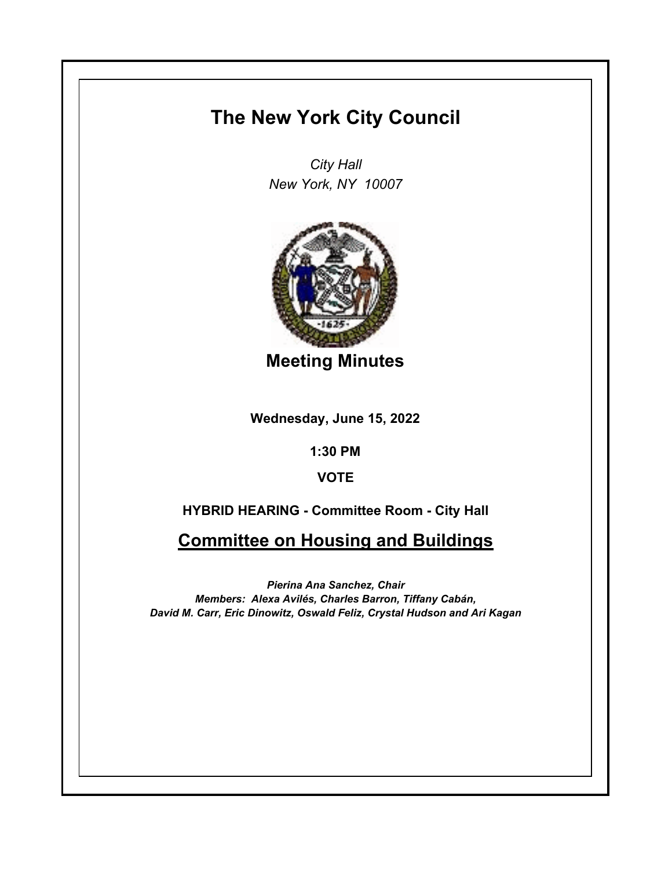## **The New York City Council**

*City Hall New York, NY 10007*



**Meeting Minutes**

**Wednesday, June 15, 2022**

**1:30 PM**

**VOTE**

**HYBRID HEARING - Committee Room - City Hall**

**Committee on Housing and Buildings**

*Pierina Ana Sanchez, Chair Members: Alexa Avilés, Charles Barron, Tiffany Cabán, David M. Carr, Eric Dinowitz, Oswald Feliz, Crystal Hudson and Ari Kagan*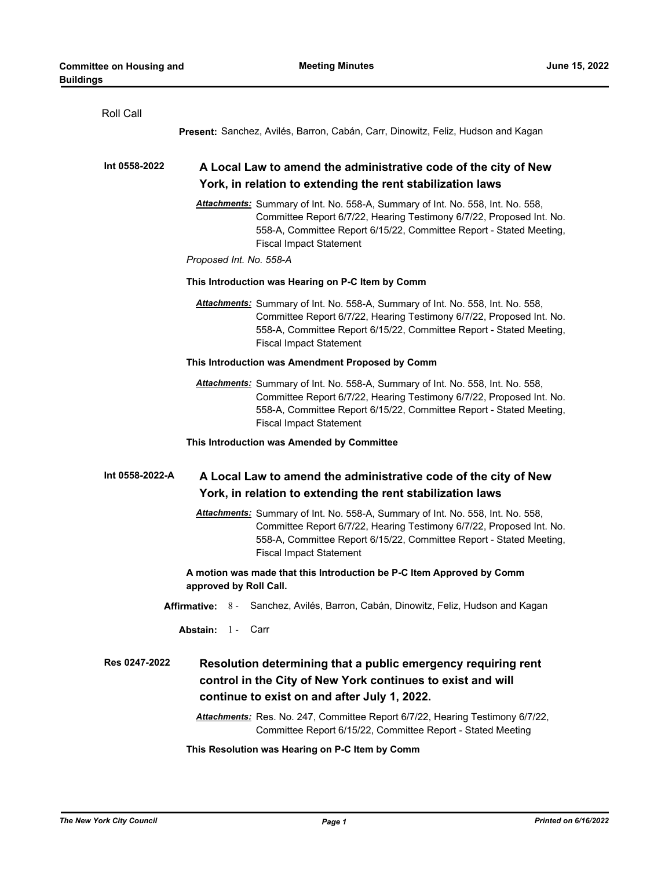| Roll Call       |                                                                                                                                                                                                                                                                 |
|-----------------|-----------------------------------------------------------------------------------------------------------------------------------------------------------------------------------------------------------------------------------------------------------------|
|                 | Present: Sanchez, Avilés, Barron, Cabán, Carr, Dinowitz, Feliz, Hudson and Kagan                                                                                                                                                                                |
| Int 0558-2022   | A Local Law to amend the administrative code of the city of New                                                                                                                                                                                                 |
|                 | York, in relation to extending the rent stabilization laws                                                                                                                                                                                                      |
|                 | Attachments: Summary of Int. No. 558-A, Summary of Int. No. 558, Int. No. 558,<br>Committee Report 6/7/22, Hearing Testimony 6/7/22, Proposed Int. No.<br>558-A, Committee Report 6/15/22, Committee Report - Stated Meeting,<br><b>Fiscal Impact Statement</b> |
|                 | Proposed Int. No. 558-A                                                                                                                                                                                                                                         |
|                 | This Introduction was Hearing on P-C Item by Comm                                                                                                                                                                                                               |
|                 | Attachments: Summary of Int. No. 558-A, Summary of Int. No. 558, Int. No. 558,<br>Committee Report 6/7/22, Hearing Testimony 6/7/22, Proposed Int. No.<br>558-A, Committee Report 6/15/22, Committee Report - Stated Meeting,<br><b>Fiscal Impact Statement</b> |
|                 | This Introduction was Amendment Proposed by Comm                                                                                                                                                                                                                |
|                 | Attachments: Summary of Int. No. 558-A, Summary of Int. No. 558, Int. No. 558,<br>Committee Report 6/7/22, Hearing Testimony 6/7/22, Proposed Int. No.<br>558-A, Committee Report 6/15/22, Committee Report - Stated Meeting,<br><b>Fiscal Impact Statement</b> |
|                 | This Introduction was Amended by Committee                                                                                                                                                                                                                      |
| Int 0558-2022-A | A Local Law to amend the administrative code of the city of New<br>York, in relation to extending the rent stabilization laws                                                                                                                                   |
|                 | Attachments: Summary of Int. No. 558-A, Summary of Int. No. 558, Int. No. 558,<br>Committee Report 6/7/22, Hearing Testimony 6/7/22, Proposed Int. No.<br>558-A, Committee Report 6/15/22, Committee Report - Stated Meeting,<br><b>Fiscal Impact Statement</b> |
|                 | A motion was made that this Introduction be P-C Item Approved by Comm<br>approved by Roll Call.                                                                                                                                                                 |
|                 | Sanchez, Avilés, Barron, Cabán, Dinowitz, Feliz, Hudson and Kagan<br><b>Affirmative:</b> 8 -                                                                                                                                                                    |
|                 | <b>Abstain:</b> 1-<br>Carr                                                                                                                                                                                                                                      |
| Res 0247-2022   | Resolution determining that a public emergency requiring rent<br>control in the City of New York continues to exist and will<br>continue to exist on and after July 1, 2022.                                                                                    |
|                 | Attachments: Res. No. 247, Committee Report 6/7/22, Hearing Testimony 6/7/22,<br>Committee Report 6/15/22, Committee Report - Stated Meeting                                                                                                                    |
|                 | This Resolution was Hearing on P-C Item by Comm                                                                                                                                                                                                                 |